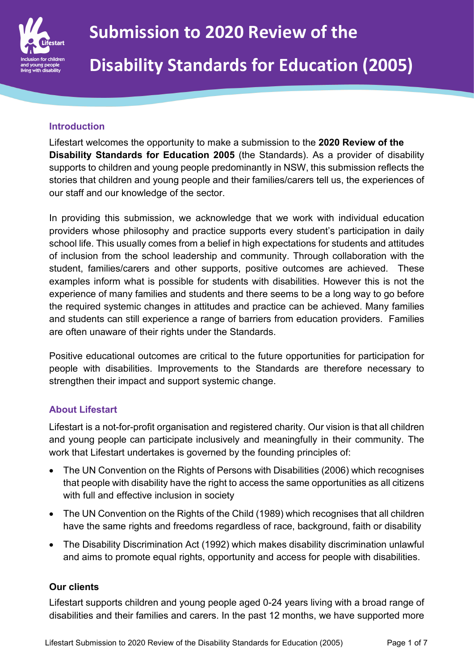

#### **Introduction**

Lifestart welcomes the opportunity to make a submission to the **2020 Review of the Disability Standards for Education 2005** (the Standards). As a provider of disability supports to children and young people predominantly in NSW, this submission reflects the stories that children and young people and their families/carers tell us, the experiences of our staff and our knowledge of the sector.

In providing this submission, we acknowledge that we work with individual education providers whose philosophy and practice supports every student's participation in daily school life. This usually comes from a belief in high expectations for students and attitudes of inclusion from the school leadership and community. Through collaboration with the student, families/carers and other supports, positive outcomes are achieved. These examples inform what is possible for students with disabilities. However this is not the experience of many families and students and there seems to be a long way to go before the required systemic changes in attitudes and practice can be achieved. Many families and students can still experience a range of barriers from education providers. Families are often unaware of their rights under the Standards.

Positive educational outcomes are critical to the future opportunities for participation for people with disabilities. Improvements to the Standards are therefore necessary to strengthen their impact and support systemic change.

#### **About Lifestart**

Lifestart is a not-for-profit organisation and registered charity. Our vision is that all children and young people can participate inclusively and meaningfully in their community. The work that Lifestart undertakes is governed by the founding principles of:

- The UN Convention on the Rights of Persons with Disabilities (2006) which recognises that people with disability have the right to access the same opportunities as all citizens with full and effective inclusion in society
- The UN Convention on the Rights of the Child (1989) which recognises that all children have the same rights and freedoms regardless of race, background, faith or disability
- The Disability Discrimination Act (1992) which makes disability discrimination unlawful and aims to promote equal rights, opportunity and access for people with disabilities.

#### **Our clients**

Lifestart supports children and young people aged 0-24 years living with a broad range of disabilities and their families and carers. In the past 12 months, we have supported more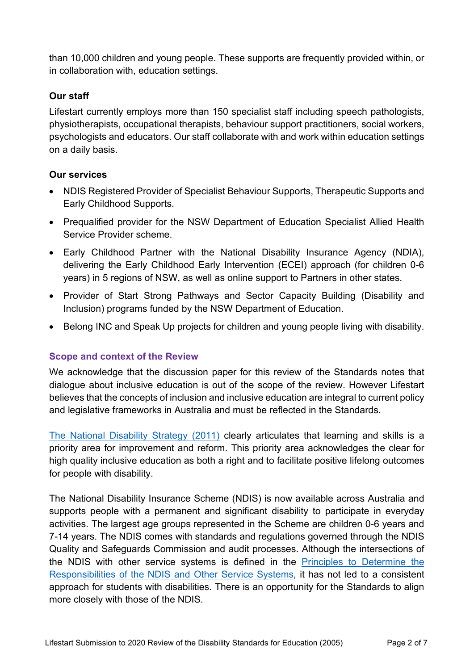than 10,000 children and young people. These supports are frequently provided within, or in collaboration with, education settings.

## **Our staff**

Lifestart currently employs more than 150 specialist staff including speech pathologists, physiotherapists, occupational therapists, behaviour support practitioners, social workers, psychologists and educators. Our staff collaborate with and work within education settings on a daily basis.

# **Our services**

- NDIS Registered Provider of Specialist Behaviour Supports, Therapeutic Supports and Early Childhood Supports.
- Prequalified provider for the NSW Department of Education Specialist Allied Health Service Provider scheme.
- Early Childhood Partner with the National Disability Insurance Agency (NDIA), delivering the Early Childhood Early Intervention (ECEI) approach (for children 0-6 years) in 5 regions of NSW, as well as online support to Partners in other states.
- Provider of Start Strong Pathways and Sector Capacity Building (Disability and Inclusion) programs funded by the NSW Department of Education.
- Belong INC and Speak Up projects for children and young people living with disability.

## **Scope and context of the Review**

We acknowledge that the discussion paper for this review of the Standards notes that dialogue about inclusive education is out of the scope of the review. However Lifestart believes that the concepts of inclusion and inclusive education are integral to current policy and legislative frameworks in Australia and must be reflected in the Standards.

The National Disability Strategy (2011) clearly articulates that learning and skills is a priority area for improvement and reform. This priority area acknowledges the clear for high quality inclusive education as both a right and to facilitate positive lifelong outcomes for people with disability.

The National Disability Insurance Scheme (NDIS) is now available across Australia and supports people with a permanent and significant disability to participate in everyday activities. The largest age groups represented in the Scheme are children 0-6 years and 7-14 years. The NDIS comes with standards and regulations governed through the NDIS Quality and Safeguards Commission and audit processes. Although the intersections of the NDIS with other service systems is defined in the Principles to Determine the Responsibilities of the NDIS and Other Service Systems, it has not led to a consistent approach for students with disabilities. There is an opportunity for the Standards to align more closely with those of the NDIS.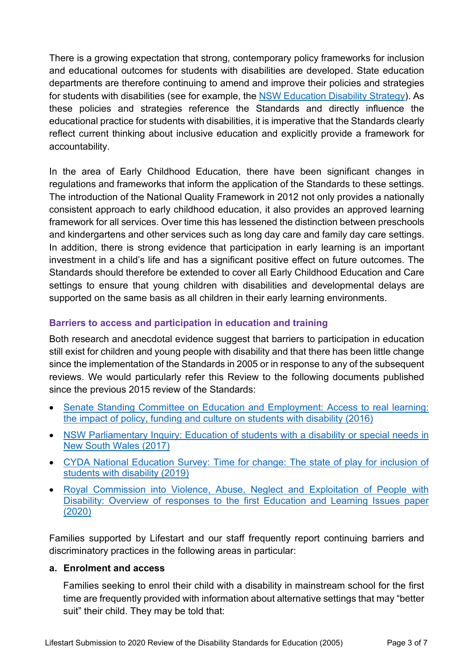There is a growing expectation that strong, contemporary policy frameworks for inclusion and educational outcomes for students with disabilities are developed. State education departments are therefore continuing to amend and improve their policies and strategies for students with disabilities (see for example, the NSW Education Disability Strategy). As these policies and strategies reference the Standards and directly influence the educational practice for students with disabilities, it is imperative that the Standards clearly reflect current thinking about inclusive education and explicitly provide a framework for accountability.

In the area of Early Childhood Education, there have been significant changes in regulations and frameworks that inform the application of the Standards to these settings. The introduction of the National Quality Framework in 2012 not only provides a nationally consistent approach to early childhood education, it also provides an approved learning framework for all services. Over time this has lessened the distinction between preschools and kindergartens and other services such as long day care and family day care settings. In addition, there is strong evidence that participation in early learning is an important investment in a child's life and has a significant positive effect on future outcomes. The Standards should therefore be extended to cover all Early Childhood Education and Care settings to ensure that young children with disabilities and developmental delays are supported on the same basis as all children in their early learning environments.

# **Barriers to access and participation in education and training**

Both research and anecdotal evidence suggest that barriers to participation in education still exist for children and young people with disability and that there has been little change since the implementation of the Standards in 2005 or in response to any of the subsequent reviews. We would particularly refer this Review to the following documents published since the previous 2015 review of the Standards:

- Senate Standing Committee on Education and Employment: Access to real learning: the impact of policy, funding and culture on students with disability (2016)
- NSW Parliamentary Inquiry: Education of students with a disability or special needs in New South Wales (2017)
- CYDA National Education Survey: Time for change: The state of play for inclusion of students with disability (2019)
- Royal Commission into Violence, Abuse, Neglect and Exploitation of People with Disability: Overview of responses to the first Education and Learning Issues paper (2020)

Families supported by Lifestart and our staff frequently report continuing barriers and discriminatory practices in the following areas in particular:

#### **a. Enrolment and access**

Families seeking to enrol their child with a disability in mainstream school for the first time are frequently provided with information about alternative settings that may "better suit" their child. They may be told that: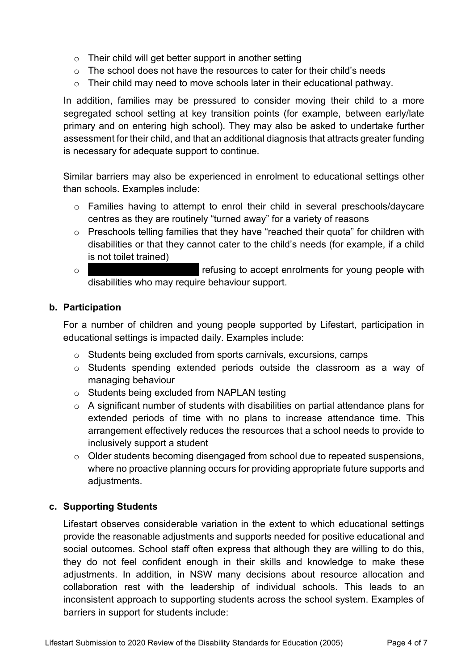- $\circ$  Their child will get better support in another setting
- $\circ$  The school does not have the resources to cater for their child's needs
- $\circ$  Their child may need to move schools later in their educational pathway.

In addition, families may be pressured to consider moving their child to a more segregated school setting at key transition points (for example, between early/late primary and on entering high school). They may also be asked to undertake further assessment for their child, and that an additional diagnosis that attracts greater funding is necessary for adequate support to continue.

Similar barriers may also be experienced in enrolment to educational settings other than schools. Examples include:

- o Families having to attempt to enrol their child in several preschools/daycare centres as they are routinely "turned away" for a variety of reasons
- o Preschools telling families that they have "reached their quota" for children with disabilities or that they cannot cater to the child's needs (for example, if a child is not toilet trained)
- o refusing to accept enrolments for young people with disabilities who may require behaviour support.

## **b. Participation**

For a number of children and young people supported by Lifestart, participation in educational settings is impacted daily. Examples include:

- o Students being excluded from sports carnivals, excursions, camps
- o Students spending extended periods outside the classroom as a way of managing behaviour
- o Students being excluded from NAPLAN testing
- $\circ$  A significant number of students with disabilities on partial attendance plans for extended periods of time with no plans to increase attendance time. This arrangement effectively reduces the resources that a school needs to provide to inclusively support a student
- o Older students becoming disengaged from school due to repeated suspensions, where no proactive planning occurs for providing appropriate future supports and adjustments.

## **c. Supporting Students**

Lifestart observes considerable variation in the extent to which educational settings provide the reasonable adjustments and supports needed for positive educational and social outcomes. School staff often express that although they are willing to do this, they do not feel confident enough in their skills and knowledge to make these adjustments. In addition, in NSW many decisions about resource allocation and collaboration rest with the leadership of individual schools. This leads to an inconsistent approach to supporting students across the school system. Examples of barriers in support for students include: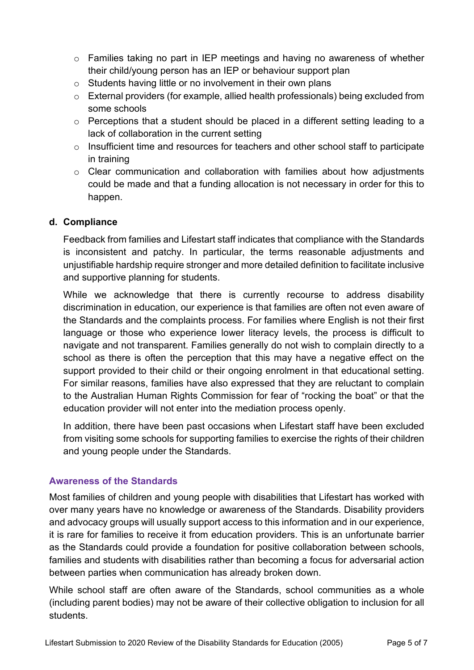- o Families taking no part in IEP meetings and having no awareness of whether their child/young person has an IEP or behaviour support plan
- o Students having little or no involvement in their own plans
- o External providers (for example, allied health professionals) being excluded from some schools
- o Perceptions that a student should be placed in a different setting leading to a lack of collaboration in the current setting
- o Insufficient time and resources for teachers and other school staff to participate in training
- o Clear communication and collaboration with families about how adjustments could be made and that a funding allocation is not necessary in order for this to happen.

# **d. Compliance**

Feedback from families and Lifestart staff indicates that compliance with the Standards is inconsistent and patchy. In particular, the terms reasonable adjustments and unjustifiable hardship require stronger and more detailed definition to facilitate inclusive and supportive planning for students.

While we acknowledge that there is currently recourse to address disability discrimination in education, our experience is that families are often not even aware of the Standards and the complaints process. For families where English is not their first language or those who experience lower literacy levels, the process is difficult to navigate and not transparent. Families generally do not wish to complain directly to a school as there is often the perception that this may have a negative effect on the support provided to their child or their ongoing enrolment in that educational setting. For similar reasons, families have also expressed that they are reluctant to complain to the Australian Human Rights Commission for fear of "rocking the boat" or that the education provider will not enter into the mediation process openly.

In addition, there have been past occasions when Lifestart staff have been excluded from visiting some schools for supporting families to exercise the rights of their children and young people under the Standards.

## **Awareness of the Standards**

Most families of children and young people with disabilities that Lifestart has worked with over many years have no knowledge or awareness of the Standards. Disability providers and advocacy groups will usually support access to this information and in our experience, it is rare for families to receive it from education providers. This is an unfortunate barrier as the Standards could provide a foundation for positive collaboration between schools, families and students with disabilities rather than becoming a focus for adversarial action between parties when communication has already broken down.

While school staff are often aware of the Standards, school communities as a whole (including parent bodies) may not be aware of their collective obligation to inclusion for all students.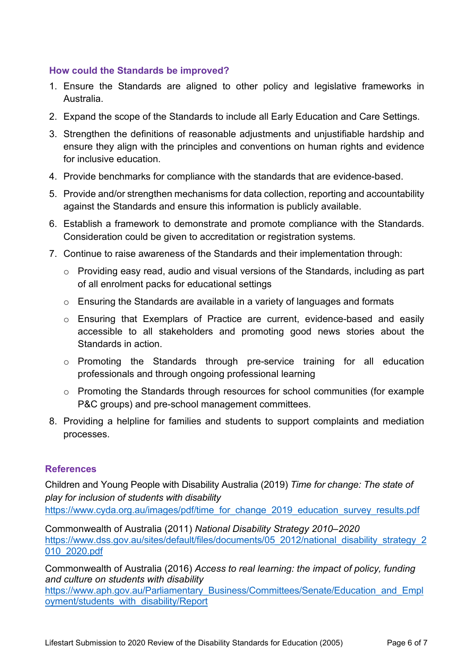#### **How could the Standards be improved?**

- 1. Ensure the Standards are aligned to other policy and legislative frameworks in Australia.
- 2. Expand the scope of the Standards to include all Early Education and Care Settings.
- 3. Strengthen the definitions of reasonable adjustments and unjustifiable hardship and ensure they align with the principles and conventions on human rights and evidence for inclusive education.
- 4. Provide benchmarks for compliance with the standards that are evidence-based.
- 5. Provide and/or strengthen mechanisms for data collection, reporting and accountability against the Standards and ensure this information is publicly available.
- 6. Establish a framework to demonstrate and promote compliance with the Standards. Consideration could be given to accreditation or registration systems.
- 7. Continue to raise awareness of the Standards and their implementation through:
	- o Providing easy read, audio and visual versions of the Standards, including as part of all enrolment packs for educational settings
	- o Ensuring the Standards are available in a variety of languages and formats
	- o Ensuring that Exemplars of Practice are current, evidence-based and easily accessible to all stakeholders and promoting good news stories about the Standards in action.
	- o Promoting the Standards through pre-service training for all education professionals and through ongoing professional learning
	- o Promoting the Standards through resources for school communities (for example P&C groups) and pre-school management committees.
- 8. Providing a helpline for families and students to support complaints and mediation processes.

## **References**

Children and Young People with Disability Australia (2019) *Time for change: The state of play for inclusion of students with disability* https://www.cyda.org.au/images/pdf/time\_for\_change\_2019\_education\_survey\_results.pdf

Commonwealth of Australia (2011) *National Disability Strategy 2010–2020* https://www.dss.gov.au/sites/default/files/documents/05\_2012/national\_disability\_strategy\_2 010\_2020.pdf

Commonwealth of Australia (2016) *Access to real learning: the impact of policy, funding and culture on students with disability*

https://www.aph.gov.au/Parliamentary\_Business/Committees/Senate/Education\_and\_Empl oyment/students\_with\_disability/Report